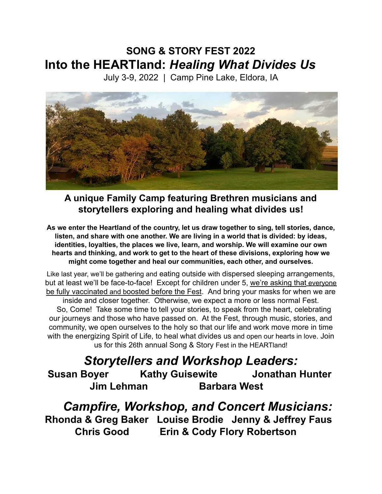# **SONG & STORY FEST 2022 Into the HEARTland:** *Healing What Divides Us*

July 3-9, 2022 | Camp Pine Lake, Eldora, IA



**A unique Family Camp featuring Brethren musicians and storytellers exploring and healing what divides us!**

**As we enter the Heartland of the country, let us draw together to sing, tell stories, dance, listen, and share with one another. We are living in a world that is divided: by ideas, identities, loyalties, the places we live, learn, and worship. We will examine our own hearts and thinking, and work to get to the heart of these divisions, exploring how we might come together and heal our communities, each other, and ourselves.**

Like last year, we'll be gathering and eating outside with dispersed sleeping arrangements, but at least we'll be face-to-face! Except for children under 5, we're asking that everyone be fully vaccinated and boosted before the Fest. And bring your masks for when we are inside and closer together. Otherwise, we expect a more or less normal Fest. So, Come! Take some time to tell your stories, to speak from the heart, celebrating our journeys and those who have passed on. At the Fest, through music, stories, and community, we open ourselves to the holy so that our life and work move more in time with the energizing Spirit of Life, to heal what divides us and open our hearts in love. Join us for this 26th annual Song & Story Fest in the HEARTland!

# *Storytellers and Workshop Leaders:*

**Susan Boyer Kathy Guisewite Jonathan Hunter Jim Lehman Barbara West**

*Campfire, Workshop, and Concert Musicians:* **Rhonda & Greg Baker Louise Brodie Jenny & Jeffrey Faus Chris Good Erin & Cody Flory Robertson**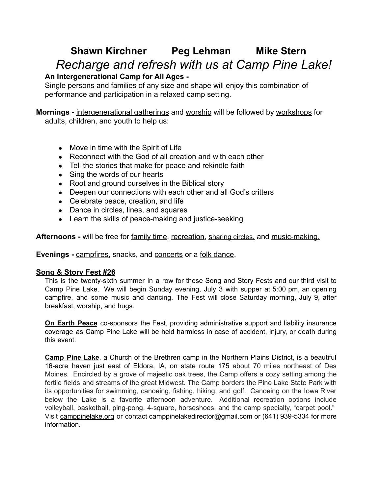# **Shawn Kirchner Peg Lehman Mike Stern** *Recharge and refresh with us at Camp Pine Lake!*

## **An Intergenerational Camp for All Ages -**

Single persons and families of any size and shape will enjoy this combination of performance and participation in a relaxed camp setting.

**Mornings -** intergenerational gatherings and worship will be followed by workshops for adults, children, and youth to help us:

- Move in time with the Spirit of Life
- Reconnect with the God of all creation and with each other
- Tell the stories that make for peace and rekindle faith
- Sing the words of our hearts
- Root and ground ourselves in the Biblical story
- Deepen our connections with each other and all God's critters
- Celebrate peace, creation, and life
- Dance in circles, lines, and squares
- Learn the skills of peace-making and justice-seeking

**Afternoons -** will be free for family time, recreation, sharing circles, and music-making.

**Evenings -** campfires, snacks, and concerts or a folk dance.

#### **Song & Story Fest #26**

This is the twenty-sixth summer in a row for these Song and Story Fests and our third visit to Camp Pine Lake. We will begin Sunday evening, July 3 with supper at 5:00 pm, an opening campfire, and some music and dancing. The Fest will close Saturday morning, July 9, after breakfast, worship, and hugs.

**On Earth Peace** co-sponsors the Fest, providing administrative support and liability insurance coverage as Camp Pine Lake will be held harmless in case of accident, injury, or death during this event.

**Camp Pine Lake**, a Church of the Brethren camp in the Northern Plains District, is a beautiful 16-acre haven just east of Eldora, IA, on state route 175 about 70 miles northeast of Des Moines. Encircled by a grove of majestic oak trees, the Camp offers a cozy setting among the fertile fields and streams of the great Midwest. The Camp borders the Pine Lake State Park with its opportunities for swimming, canoeing, fishing, hiking, and golf. Canoeing on the Iowa River below the Lake is a favorite afternoon adventure. Additional recreation options include volleyball, basketball, ping-pong, 4-square, horseshoes, and the camp specialty, "carpet pool." Visit camppinelake.org or contact camppinelakedirector@gmail.com or (641) 939-5334 for more information.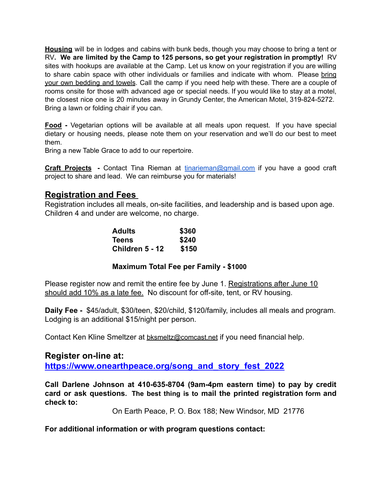**Housing** will be in lodges and cabins with bunk beds, though you may choose to bring a tent or RV**. We are limited by the Camp to 125 persons, so get your registration in promptly!** RV sites with hookups are available at the Camp. Let us know on your registration if you are willing to share cabin space with other individuals or families and indicate with whom. Please bring your own bedding and towels. Call the camp if you need help with these. There are a couple of rooms onsite for those with advanced age or special needs. If you would like to stay at a motel, the closest nice one is 20 minutes away in Grundy Center, the American Motel, 319-824-5272. Bring a lawn or folding chair if you can.

**Food -** Vegetarian options will be available at all meals upon request. If you have special dietary or housing needs, please note them on your reservation and we'll do our best to meet them.

Bring a new Table Grace to add to our repertoire.

**Craft Projects -** Contact Tina Rieman at [tinarieman@gmail.com](mailto:tinarieman@gmail.com) if you have a good craft project to share and lead. We can reimburse you for materials!

## **Registration and Fees**

Registration includes all meals, on-site facilities, and leadership and is based upon age. Children 4 and under are welcome, no charge.

| <b>Adults</b>   | \$360 |
|-----------------|-------|
| <b>Teens</b>    | \$240 |
| Children 5 - 12 | \$150 |

#### **Maximum Total Fee per Family - \$1000**

Please register now and remit the entire fee by June 1. Registrations after June 10 should add 10% as a late fee. No discount for off-site, tent, or RV housing.

**Daily Fee -** \$45/adult, \$30/teen, \$20/child, \$120/family, includes all meals and program. Lodging is an additional \$15/night per person.

Contact Ken Kline Smeltzer at [bksmeltz@comcast.net](mailto:bksmeltz@comcast.net) if you need financial help.

# **Register on-line at:**

**[https://www.onearthpeace.org/song\\_and\\_story\\_fest\\_2022](https://www.onearthpeace.org/song_and_story_fest_2022)**

**Call Darlene Johnson at 410-635-8704 (9am-4pm eastern time) to pay by credit card or ask questions. The best thing is to mail the printed registration form and check to:**

On Earth Peace, P. O. Box 188; New Windsor, MD 21776

**For additional information or with program questions contact:**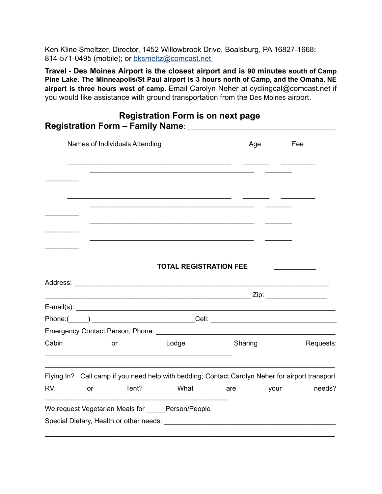Ken Kline Smeltzer, Director, 1452 Willowbrook Drive, Boalsburg, PA 16827-1668; 814-571-0495 (mobile); or [bksmeltz@comcast.net](mailto:bksmeltz@comcast.net)

**Travel - Des Moines Airport is the closest airport and is 90 minutes south of Camp Pine Lake. The Minneapolis/St Paul airport is 3 hours north of Camp, and the Omaha, NE airport is three hours west of camp.** Email Carolyn Neher at cyclingcal@comcast.net if you would like assistance with ground transportation from the Des Moines airport.

| Names of Individuals Attending |    |       |                                                                                                 |         | Age  | Fee       |
|--------------------------------|----|-------|-------------------------------------------------------------------------------------------------|---------|------|-----------|
|                                |    |       |                                                                                                 |         |      |           |
|                                |    |       |                                                                                                 |         |      |           |
|                                |    |       |                                                                                                 |         |      |           |
|                                |    |       |                                                                                                 |         |      |           |
|                                |    |       | <b>TOTAL REGISTRATION FEE</b>                                                                   |         |      |           |
|                                |    |       |                                                                                                 |         |      |           |
|                                |    |       | $E-mail(s):$                                                                                    |         |      |           |
|                                |    |       |                                                                                                 |         |      |           |
|                                |    |       |                                                                                                 |         |      |           |
| Cabin                          |    | or    | Lodge                                                                                           | Sharing |      | Requests: |
|                                |    |       | Flying In? Call camp if you need help with bedding; Contact Carolyn Neher for airport transport |         |      |           |
| <b>RV</b>                      | or | Tent? | What                                                                                            | are     | your | needs?    |
|                                |    |       | We request Vegetarian Meals for Person/People                                                   |         |      |           |